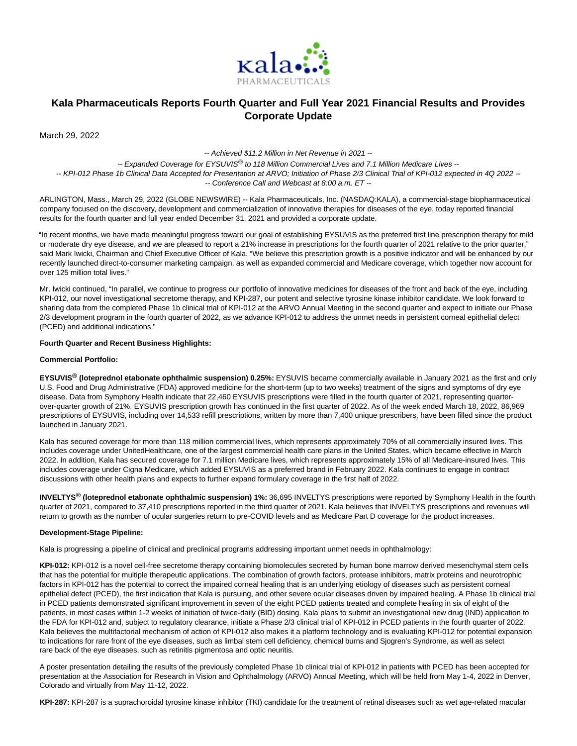

# **Kala Pharmaceuticals Reports Fourth Quarter and Full Year 2021 Financial Results and Provides Corporate Update**

March 29, 2022

-- Achieved \$11.2 Million in Net Revenue in 2021 --

-- Expanded Coverage for EYSUVIS<sup>®</sup> to 118 Million Commercial Lives and 7.1 Million Medicare Lives ---- KPI-012 Phase 1b Clinical Data Accepted for Presentation at ARVO; Initiation of Phase 2/3 Clinical Trial of KPI-012 expected in 4Q 2022 -- -- Conference Call and Webcast at 8:00 a.m. ET --

ARLINGTON, Mass., March 29, 2022 (GLOBE NEWSWIRE) -- Kala Pharmaceuticals, Inc. (NASDAQ:KALA), a commercial-stage biopharmaceutical company focused on the discovery, development and commercialization of innovative therapies for diseases of the eye, today reported financial results for the fourth quarter and full year ended December 31, 2021 and provided a corporate update.

"In recent months, we have made meaningful progress toward our goal of establishing EYSUVIS as the preferred first line prescription therapy for mild or moderate dry eye disease, and we are pleased to report a 21% increase in prescriptions for the fourth quarter of 2021 relative to the prior quarter," said Mark Iwicki, Chairman and Chief Executive Officer of Kala. "We believe this prescription growth is a positive indicator and will be enhanced by our recently launched direct-to-consumer marketing campaign, as well as expanded commercial and Medicare coverage, which together now account for over 125 million total lives."

Mr. Iwicki continued, "In parallel, we continue to progress our portfolio of innovative medicines for diseases of the front and back of the eye, including KPI-012, our novel investigational secretome therapy, and KPI-287, our potent and selective tyrosine kinase inhibitor candidate. We look forward to sharing data from the completed Phase 1b clinical trial of KPI-012 at the ARVO Annual Meeting in the second quarter and expect to initiate our Phase 2/3 development program in the fourth quarter of 2022, as we advance KPI-012 to address the unmet needs in persistent corneal epithelial defect (PCED) and additional indications."

## **Fourth Quarter and Recent Business Highlights:**

## **Commercial Portfolio:**

**EYSUVIS® (loteprednol etabonate ophthalmic suspension) 0.25%:** EYSUVIS became commercially available in January 2021 as the first and only U.S. Food and Drug Administrative (FDA) approved medicine for the short-term (up to two weeks) treatment of the signs and symptoms of dry eye disease. Data from Symphony Health indicate that 22,460 EYSUVIS prescriptions were filled in the fourth quarter of 2021, representing quarterover-quarter growth of 21%. EYSUVIS prescription growth has continued in the first quarter of 2022. As of the week ended March 18, 2022, 86,969 prescriptions of EYSUVIS, including over 14,533 refill prescriptions, written by more than 7,400 unique prescribers, have been filled since the product launched in January 2021.

Kala has secured coverage for more than 118 million commercial lives, which represents approximately 70% of all commercially insured lives. This includes coverage under UnitedHealthcare, one of the largest commercial health care plans in the United States, which became effective in March 2022. In addition, Kala has secured coverage for 7.1 million Medicare lives, which represents approximately 15% of all Medicare-insured lives. This includes coverage under Cigna Medicare, which added EYSUVIS as a preferred brand in February 2022. Kala continues to engage in contract discussions with other health plans and expects to further expand formulary coverage in the first half of 2022.

**INVELTYS® (loteprednol etabonate ophthalmic suspension) 1%:** 36,695 INVELTYS prescriptions were reported by Symphony Health in the fourth quarter of 2021, compared to 37,410 prescriptions reported in the third quarter of 2021. Kala believes that INVELTYS prescriptions and revenues will return to growth as the number of ocular surgeries return to pre-COVID levels and as Medicare Part D coverage for the product increases.

#### **Development-Stage Pipeline:**

Kala is progressing a pipeline of clinical and preclinical programs addressing important unmet needs in ophthalmology:

**KPI-012:** KPI-012 is a novel cell-free secretome therapy containing biomolecules secreted by human bone marrow derived mesenchymal stem cells that has the potential for multiple therapeutic applications. The combination of growth factors, protease inhibitors, matrix proteins and neurotrophic factors in KPI-012 has the potential to correct the impaired corneal healing that is an underlying etiology of diseases such as persistent corneal epithelial defect (PCED), the first indication that Kala is pursuing, and other severe ocular diseases driven by impaired healing. A Phase 1b clinical trial in PCED patients demonstrated significant improvement in seven of the eight PCED patients treated and complete healing in six of eight of the patients, in most cases within 1-2 weeks of initiation of twice-daily (BID) dosing. Kala plans to submit an investigational new drug (IND) application to the FDA for KPI-012 and, subject to regulatory clearance, initiate a Phase 2/3 clinical trial of KPI-012 in PCED patients in the fourth quarter of 2022. Kala believes the multifactorial mechanism of action of KPI-012 also makes it a platform technology and is evaluating KPI-012 for potential expansion to indications for rare front of the eye diseases, such as limbal stem cell deficiency, chemical burns and Sjogren's Syndrome, as well as select rare back of the eye diseases, such as retinitis pigmentosa and optic neuritis.

A poster presentation detailing the results of the previously completed Phase 1b clinical trial of KPI-012 in patients with PCED has been accepted for presentation at the Association for Research in Vision and Ophthalmology (ARVO) Annual Meeting, which will be held from May 1-4, 2022 in Denver, Colorado and virtually from May 11-12, 2022.

**KPI-287:** KPI-287 is a suprachoroidal tyrosine kinase inhibitor (TKI) candidate for the treatment of retinal diseases such as wet age-related macular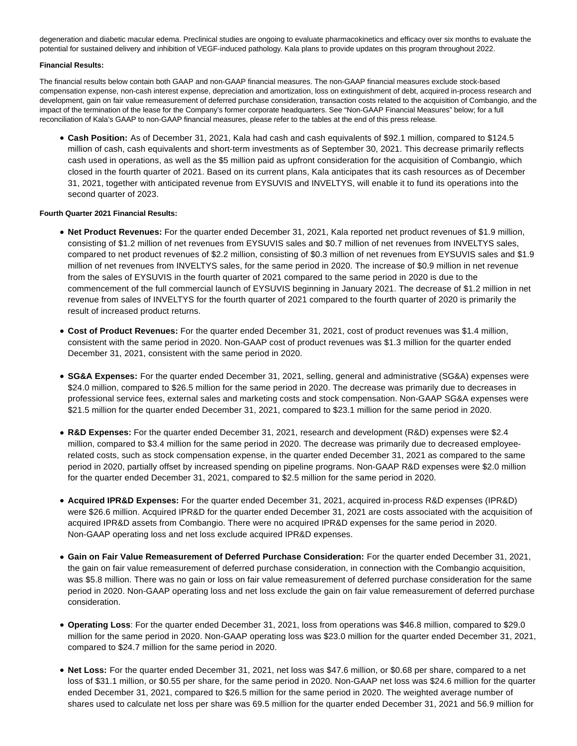degeneration and diabetic macular edema. Preclinical studies are ongoing to evaluate pharmacokinetics and efficacy over six months to evaluate the potential for sustained delivery and inhibition of VEGF-induced pathology. Kala plans to provide updates on this program throughout 2022.

#### **Financial Results:**

The financial results below contain both GAAP and non-GAAP financial measures. The non-GAAP financial measures exclude stock-based compensation expense, non-cash interest expense, depreciation and amortization, loss on extinguishment of debt, acquired in-process research and development, gain on fair value remeasurement of deferred purchase consideration, transaction costs related to the acquisition of Combangio, and the impact of the termination of the lease for the Company's former corporate headquarters. See "Non-GAAP Financial Measures" below; for a full reconciliation of Kala's GAAP to non-GAAP financial measures, please refer to the tables at the end of this press release.

**Cash Position:** As of December 31, 2021, Kala had cash and cash equivalents of \$92.1 million, compared to \$124.5 million of cash, cash equivalents and short-term investments as of September 30, 2021. This decrease primarily reflects cash used in operations, as well as the \$5 million paid as upfront consideration for the acquisition of Combangio, which closed in the fourth quarter of 2021. Based on its current plans, Kala anticipates that its cash resources as of December 31, 2021, together with anticipated revenue from EYSUVIS and INVELTYS, will enable it to fund its operations into the second quarter of 2023.

## **Fourth Quarter 2021 Financial Results:**

- **Net Product Revenues:** For the quarter ended December 31, 2021, Kala reported net product revenues of \$1.9 million, consisting of \$1.2 million of net revenues from EYSUVIS sales and \$0.7 million of net revenues from INVELTYS sales, compared to net product revenues of \$2.2 million, consisting of \$0.3 million of net revenues from EYSUVIS sales and \$1.9 million of net revenues from INVELTYS sales, for the same period in 2020. The increase of \$0.9 million in net revenue from the sales of EYSUVIS in the fourth quarter of 2021 compared to the same period in 2020 is due to the commencement of the full commercial launch of EYSUVIS beginning in January 2021. The decrease of \$1.2 million in net revenue from sales of INVELTYS for the fourth quarter of 2021 compared to the fourth quarter of 2020 is primarily the result of increased product returns.
- **Cost of Product Revenues:** For the quarter ended December 31, 2021, cost of product revenues was \$1.4 million, consistent with the same period in 2020. Non-GAAP cost of product revenues was \$1.3 million for the quarter ended December 31, 2021, consistent with the same period in 2020.
- **SG&A Expenses:** For the quarter ended December 31, 2021, selling, general and administrative (SG&A) expenses were \$24.0 million, compared to \$26.5 million for the same period in 2020. The decrease was primarily due to decreases in professional service fees, external sales and marketing costs and stock compensation. Non-GAAP SG&A expenses were \$21.5 million for the quarter ended December 31, 2021, compared to \$23.1 million for the same period in 2020.
- **R&D Expenses:** For the quarter ended December 31, 2021, research and development (R&D) expenses were \$2.4 million, compared to \$3.4 million for the same period in 2020. The decrease was primarily due to decreased employeerelated costs, such as stock compensation expense, in the quarter ended December 31, 2021 as compared to the same period in 2020, partially offset by increased spending on pipeline programs. Non-GAAP R&D expenses were \$2.0 million for the quarter ended December 31, 2021, compared to \$2.5 million for the same period in 2020.
- **Acquired IPR&D Expenses:** For the quarter ended December 31, 2021, acquired in-process R&D expenses (IPR&D) were \$26.6 million. Acquired IPR&D for the quarter ended December 31, 2021 are costs associated with the acquisition of acquired IPR&D assets from Combangio. There were no acquired IPR&D expenses for the same period in 2020. Non-GAAP operating loss and net loss exclude acquired IPR&D expenses.
- **Gain on Fair Value Remeasurement of Deferred Purchase Consideration:** For the quarter ended December 31, 2021, the gain on fair value remeasurement of deferred purchase consideration, in connection with the Combangio acquisition, was \$5.8 million. There was no gain or loss on fair value remeasurement of deferred purchase consideration for the same period in 2020. Non-GAAP operating loss and net loss exclude the gain on fair value remeasurement of deferred purchase consideration.
- **Operating Loss**: For the quarter ended December 31, 2021, loss from operations was \$46.8 million, compared to \$29.0 million for the same period in 2020. Non-GAAP operating loss was \$23.0 million for the quarter ended December 31, 2021, compared to \$24.7 million for the same period in 2020.
- **Net Loss:** For the quarter ended December 31, 2021, net loss was \$47.6 million, or \$0.68 per share, compared to a net loss of \$31.1 million, or \$0.55 per share, for the same period in 2020. Non-GAAP net loss was \$24.6 million for the quarter ended December 31, 2021, compared to \$26.5 million for the same period in 2020. The weighted average number of shares used to calculate net loss per share was 69.5 million for the quarter ended December 31, 2021 and 56.9 million for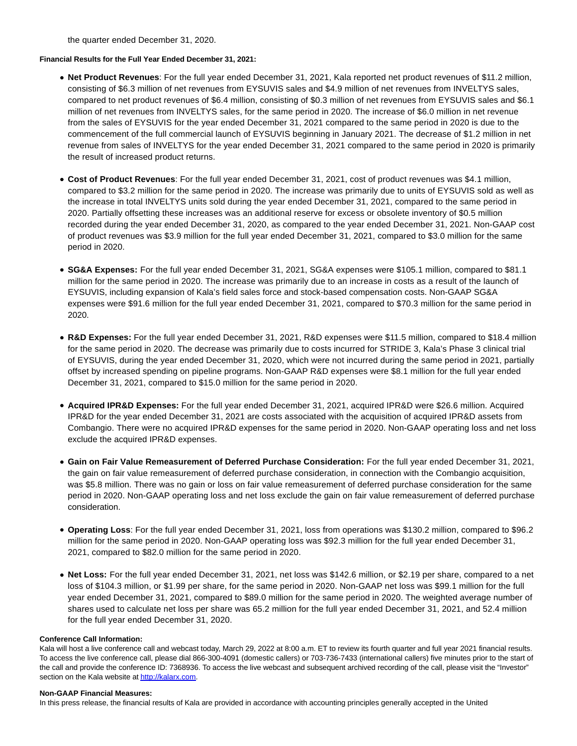the quarter ended December 31, 2020.

## **Financial Results for the Full Year Ended December 31, 2021:**

- **Net Product Revenues**: For the full year ended December 31, 2021, Kala reported net product revenues of \$11.2 million, consisting of \$6.3 million of net revenues from EYSUVIS sales and \$4.9 million of net revenues from INVELTYS sales, compared to net product revenues of \$6.4 million, consisting of \$0.3 million of net revenues from EYSUVIS sales and \$6.1 million of net revenues from INVELTYS sales, for the same period in 2020. The increase of \$6.0 million in net revenue from the sales of EYSUVIS for the year ended December 31, 2021 compared to the same period in 2020 is due to the commencement of the full commercial launch of EYSUVIS beginning in January 2021. The decrease of \$1.2 million in net revenue from sales of INVELTYS for the year ended December 31, 2021 compared to the same period in 2020 is primarily the result of increased product returns.
- **Cost of Product Revenues**: For the full year ended December 31, 2021, cost of product revenues was \$4.1 million, compared to \$3.2 million for the same period in 2020. The increase was primarily due to units of EYSUVIS sold as well as the increase in total INVELTYS units sold during the year ended December 31, 2021, compared to the same period in 2020. Partially offsetting these increases was an additional reserve for excess or obsolete inventory of \$0.5 million recorded during the year ended December 31, 2020, as compared to the year ended December 31, 2021. Non-GAAP cost of product revenues was \$3.9 million for the full year ended December 31, 2021, compared to \$3.0 million for the same period in 2020.
- **SG&A Expenses:** For the full year ended December 31, 2021, SG&A expenses were \$105.1 million, compared to \$81.1 million for the same period in 2020. The increase was primarily due to an increase in costs as a result of the launch of EYSUVIS, including expansion of Kala's field sales force and stock-based compensation costs. Non-GAAP SG&A expenses were \$91.6 million for the full year ended December 31, 2021, compared to \$70.3 million for the same period in 2020.
- **R&D Expenses:** For the full year ended December 31, 2021, R&D expenses were \$11.5 million, compared to \$18.4 million for the same period in 2020. The decrease was primarily due to costs incurred for STRIDE 3, Kala's Phase 3 clinical trial of EYSUVIS, during the year ended December 31, 2020, which were not incurred during the same period in 2021, partially offset by increased spending on pipeline programs. Non-GAAP R&D expenses were \$8.1 million for the full year ended December 31, 2021, compared to \$15.0 million for the same period in 2020.
- **Acquired IPR&D Expenses:** For the full year ended December 31, 2021, acquired IPR&D were \$26.6 million. Acquired IPR&D for the year ended December 31, 2021 are costs associated with the acquisition of acquired IPR&D assets from Combangio. There were no acquired IPR&D expenses for the same period in 2020. Non-GAAP operating loss and net loss exclude the acquired IPR&D expenses.
- **Gain on Fair Value Remeasurement of Deferred Purchase Consideration:** For the full year ended December 31, 2021, the gain on fair value remeasurement of deferred purchase consideration, in connection with the Combangio acquisition, was \$5.8 million. There was no gain or loss on fair value remeasurement of deferred purchase consideration for the same period in 2020. Non-GAAP operating loss and net loss exclude the gain on fair value remeasurement of deferred purchase consideration.
- **Operating Loss**: For the full year ended December 31, 2021, loss from operations was \$130.2 million, compared to \$96.2 million for the same period in 2020. Non-GAAP operating loss was \$92.3 million for the full year ended December 31, 2021, compared to \$82.0 million for the same period in 2020.
- **Net Loss:** For the full year ended December 31, 2021, net loss was \$142.6 million, or \$2.19 per share, compared to a net loss of \$104.3 million, or \$1.99 per share, for the same period in 2020. Non-GAAP net loss was \$99.1 million for the full year ended December 31, 2021, compared to \$89.0 million for the same period in 2020. The weighted average number of shares used to calculate net loss per share was 65.2 million for the full year ended December 31, 2021, and 52.4 million for the full year ended December 31, 2020.

#### **Conference Call Information:**

Kala will host a live conference call and webcast today, March 29, 2022 at 8:00 a.m. ET to review its fourth quarter and full year 2021 financial results. To access the live conference call, please dial 866-300-4091 (domestic callers) or 703-736-7433 (international callers) five minutes prior to the start of the call and provide the conference ID: 7368936. To access the live webcast and subsequent archived recording of the call, please visit the "Investor" section on the Kala website a[t http://kalarx.com.](https://www.globenewswire.com/Tracker?data=Hy9esWzw99EBCm5QDJyGhJQOaxc18Ot8BNC92RyIMdESmphhCQ4lSgLnJLV2W1tTNZYK_0MZ5coX7afbc2IL8A==)

#### **Non-GAAP Financial Measures:**

In this press release, the financial results of Kala are provided in accordance with accounting principles generally accepted in the United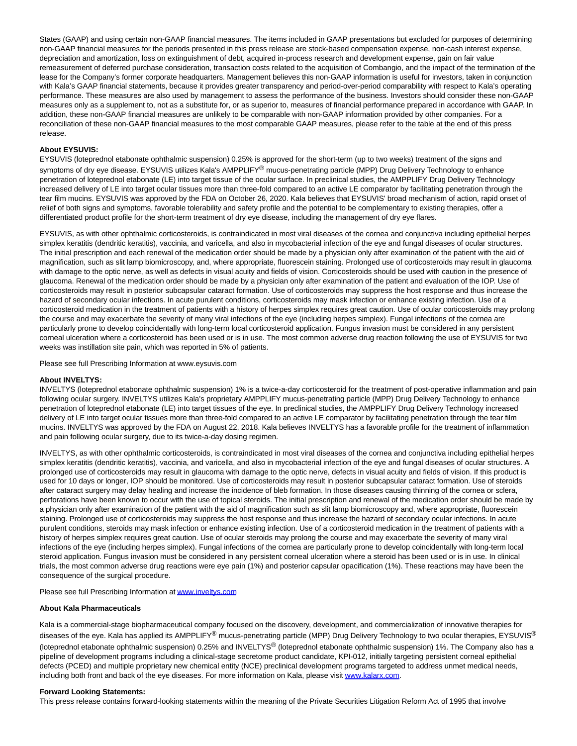States (GAAP) and using certain non-GAAP financial measures. The items included in GAAP presentations but excluded for purposes of determining non-GAAP financial measures for the periods presented in this press release are stock-based compensation expense, non-cash interest expense, depreciation and amortization, loss on extinguishment of debt, acquired in-process research and development expense, gain on fair value remeasurement of deferred purchase consideration, transaction costs related to the acquisition of Combangio, and the impact of the termination of the lease for the Company's former corporate headquarters. Management believes this non-GAAP information is useful for investors, taken in conjunction with Kala's GAAP financial statements, because it provides greater transparency and period-over-period comparability with respect to Kala's operating performance. These measures are also used by management to assess the performance of the business. Investors should consider these non-GAAP measures only as a supplement to, not as a substitute for, or as superior to, measures of financial performance prepared in accordance with GAAP. In addition, these non-GAAP financial measures are unlikely to be comparable with non-GAAP information provided by other companies. For a reconciliation of these non-GAAP financial measures to the most comparable GAAP measures, please refer to the table at the end of this press release.

#### **About EYSUVIS:**

EYSUVIS (loteprednol etabonate ophthalmic suspension) 0.25% is approved for the short-term (up to two weeks) treatment of the signs and symptoms of dry eye disease. EYSUVIS utilizes Kala's AMPPLIFY® mucus-penetrating particle (MPP) Drug Delivery Technology to enhance penetration of loteprednol etabonate (LE) into target tissue of the ocular surface. In preclinical studies, the AMPPLIFY Drug Delivery Technology increased delivery of LE into target ocular tissues more than three-fold compared to an active LE comparator by facilitating penetration through the tear film mucins. EYSUVIS was approved by the FDA on October 26, 2020. Kala believes that EYSUVIS' broad mechanism of action, rapid onset of relief of both signs and symptoms, favorable tolerability and safety profile and the potential to be complementary to existing therapies, offer a differentiated product profile for the short-term treatment of dry eye disease, including the management of dry eye flares.

EYSUVIS, as with other ophthalmic corticosteroids, is contraindicated in most viral diseases of the cornea and conjunctiva including epithelial herpes simplex keratitis (dendritic keratitis), vaccinia, and varicella, and also in mycobacterial infection of the eye and fungal diseases of ocular structures. The initial prescription and each renewal of the medication order should be made by a physician only after examination of the patient with the aid of magnification, such as slit lamp biomicroscopy, and, where appropriate, fluorescein staining. Prolonged use of corticosteroids may result in glaucoma with damage to the optic nerve, as well as defects in visual acuity and fields of vision. Corticosteroids should be used with caution in the presence of glaucoma. Renewal of the medication order should be made by a physician only after examination of the patient and evaluation of the IOP. Use of corticosteroids may result in posterior subcapsular cataract formation. Use of corticosteroids may suppress the host response and thus increase the hazard of secondary ocular infections. In acute purulent conditions, corticosteroids may mask infection or enhance existing infection. Use of a corticosteroid medication in the treatment of patients with a history of herpes simplex requires great caution. Use of ocular corticosteroids may prolong the course and may exacerbate the severity of many viral infections of the eye (including herpes simplex). Fungal infections of the cornea are particularly prone to develop coincidentally with long-term local corticosteroid application. Fungus invasion must be considered in any persistent corneal ulceration where a corticosteroid has been used or is in use. The most common adverse drug reaction following the use of EYSUVIS for two weeks was instillation site pain, which was reported in 5% of patients.

Please see full Prescribing Information at www.eysuvis.com

#### **About INVELTYS:**

INVELTYS (loteprednol etabonate ophthalmic suspension) 1% is a twice-a-day corticosteroid for the treatment of post-operative inflammation and pain following ocular surgery. INVELTYS utilizes Kala's proprietary AMPPLIFY mucus-penetrating particle (MPP) Drug Delivery Technology to enhance penetration of loteprednol etabonate (LE) into target tissues of the eye. In preclinical studies, the AMPPLIFY Drug Delivery Technology increased delivery of LE into target ocular tissues more than three-fold compared to an active LE comparator by facilitating penetration through the tear film mucins. INVELTYS was approved by the FDA on August 22, 2018. Kala believes INVELTYS has a favorable profile for the treatment of inflammation and pain following ocular surgery, due to its twice-a-day dosing regimen.

INVELTYS, as with other ophthalmic corticosteroids, is contraindicated in most viral diseases of the cornea and conjunctiva including epithelial herpes simplex keratitis (dendritic keratitis), vaccinia, and varicella, and also in mycobacterial infection of the eye and fungal diseases of ocular structures. A prolonged use of corticosteroids may result in glaucoma with damage to the optic nerve, defects in visual acuity and fields of vision. If this product is used for 10 days or longer, IOP should be monitored. Use of corticosteroids may result in posterior subcapsular cataract formation. Use of steroids after cataract surgery may delay healing and increase the incidence of bleb formation. In those diseases causing thinning of the cornea or sclera, perforations have been known to occur with the use of topical steroids. The initial prescription and renewal of the medication order should be made by a physician only after examination of the patient with the aid of magnification such as slit lamp biomicroscopy and, where appropriate, fluorescein staining. Prolonged use of corticosteroids may suppress the host response and thus increase the hazard of secondary ocular infections. In acute purulent conditions, steroids may mask infection or enhance existing infection. Use of a corticosteroid medication in the treatment of patients with a history of herpes simplex requires great caution. Use of ocular steroids may prolong the course and may exacerbate the severity of many viral infections of the eye (including herpes simplex). Fungal infections of the cornea are particularly prone to develop coincidentally with long-term local steroid application. Fungus invasion must be considered in any persistent corneal ulceration where a steroid has been used or is in use. In clinical trials, the most common adverse drug reactions were eye pain (1%) and posterior capsular opacification (1%). These reactions may have been the consequence of the surgical procedure.

Please see full Prescribing Information a[t www.inveltys.com](https://www.globenewswire.com/Tracker?data=ymxHhUqgyRJQhzn_82iujGeN6M69SheYfWwGZ1XTe_8AVSADuFq0M-8XIzbG8vDPP0eRsVd1UqRwXOSUqfnW0g==)

#### **About Kala Pharmaceuticals**

Kala is a commercial-stage biopharmaceutical company focused on the discovery, development, and commercialization of innovative therapies for diseases of the eye. Kala has applied its AMPPLIFY® mucus-penetrating particle (MPP) Drug Delivery Technology to two ocular therapies, EYSUVIS® (loteprednol etabonate ophthalmic suspension) 0.25% and INVELTYS® (loteprednol etabonate ophthalmic suspension) 1%. The Company also has a pipeline of development programs including a clinical-stage secretome product candidate, KPI-012, initially targeting persistent corneal epithelial defects (PCED) and multiple proprietary new chemical entity (NCE) preclinical development programs targeted to address unmet medical needs, including both front and back of the eye diseases. For more information on Kala, please visi[t www.kalarx.com.](https://www.globenewswire.com/Tracker?data=TSFWODfOVImminLVlqYbnqvR-Nx3kkbdiH5daiHQxlz7IS2iU9z1MYCp57NkVyQhxeb3G5OqlQsXKf-1XI5OJA==)

#### **Forward Looking Statements:**

This press release contains forward-looking statements within the meaning of the Private Securities Litigation Reform Act of 1995 that involve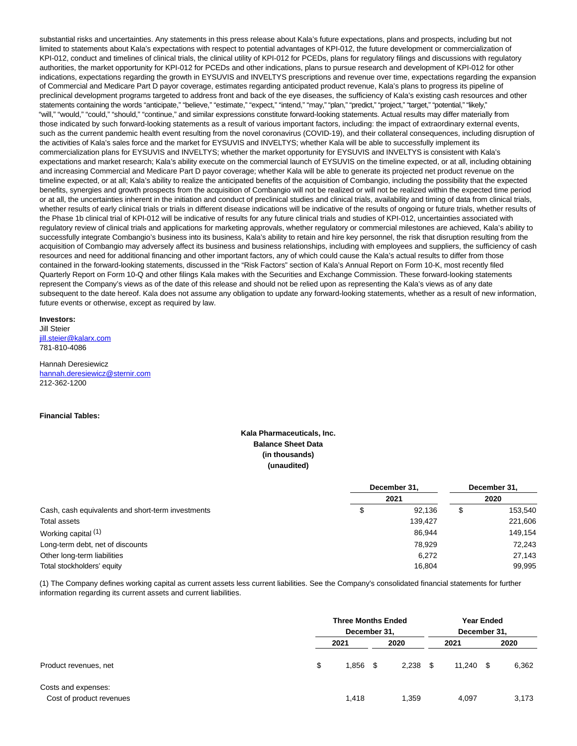substantial risks and uncertainties. Any statements in this press release about Kala's future expectations, plans and prospects, including but not limited to statements about Kala's expectations with respect to potential advantages of KPI-012, the future development or commercialization of KPI-012, conduct and timelines of clinical trials, the clinical utility of KPI-012 for PCEDs, plans for regulatory filings and discussions with regulatory authorities, the market opportunity for KPI-012 for PCEDs and other indications, plans to pursue research and development of KPI-012 for other indications, expectations regarding the growth in EYSUVIS and INVELTYS prescriptions and revenue over time, expectations regarding the expansion of Commercial and Medicare Part D payor coverage, estimates regarding anticipated product revenue, Kala's plans to progress its pipeline of preclinical development programs targeted to address front and back of the eye diseases, the sufficiency of Kala's existing cash resources and other statements containing the words "anticipate," "believe," "estimate," "expect," "intend," "may," "plan," "predict," "project," "target," "potential," "likely," "will," "would," "could," "should," "continue," and similar expressions constitute forward-looking statements. Actual results may differ materially from those indicated by such forward-looking statements as a result of various important factors, including: the impact of extraordinary external events, such as the current pandemic health event resulting from the novel coronavirus (COVID-19), and their collateral consequences, including disruption of the activities of Kala's sales force and the market for EYSUVIS and INVELTYS; whether Kala will be able to successfully implement its commercialization plans for EYSUVIS and INVELTYS; whether the market opportunity for EYSUVIS and INVELTYS is consistent with Kala's expectations and market research; Kala's ability execute on the commercial launch of EYSUVIS on the timeline expected, or at all, including obtaining and increasing Commercial and Medicare Part D payor coverage; whether Kala will be able to generate its projected net product revenue on the timeline expected, or at all; Kala's ability to realize the anticipated benefits of the acquisition of Combangio, including the possibility that the expected benefits, synergies and growth prospects from the acquisition of Combangio will not be realized or will not be realized within the expected time period or at all, the uncertainties inherent in the initiation and conduct of preclinical studies and clinical trials, availability and timing of data from clinical trials, whether results of early clinical trials or trials in different disease indications will be indicative of the results of ongoing or future trials, whether results of the Phase 1b clinical trial of KPI-012 will be indicative of results for any future clinical trials and studies of KPI-012, uncertainties associated with regulatory review of clinical trials and applications for marketing approvals, whether regulatory or commercial milestones are achieved, Kala's ability to successfully integrate Combangio's business into its business, Kala's ability to retain and hire key personnel, the risk that disruption resulting from the acquisition of Combangio may adversely affect its business and business relationships, including with employees and suppliers, the sufficiency of cash resources and need for additional financing and other important factors, any of which could cause the Kala's actual results to differ from those contained in the forward-looking statements, discussed in the "Risk Factors" section of Kala's Annual Report on Form 10-K, most recently filed Quarterly Report on Form 10-Q and other filings Kala makes with the Securities and Exchange Commission. These forward-looking statements represent the Company's views as of the date of this release and should not be relied upon as representing the Kala's views as of any date subsequent to the date hereof. Kala does not assume any obligation to update any forward-looking statements, whether as a result of new information, future events or otherwise, except as required by law.

**Investors:** Jill Steier [jill.steier@kalarx.com](https://www.globenewswire.com/Tracker?data=IUTvPDQ14myXUAaW5Q7NgHJh0E3Hkfb50TxOMbpFM3RO-dtyJLG6QX1AhEPQFbtMDEUb5dkjF63wwNcA_TaU8s2dyUSSdrEX5XovYg4a9Ss=)

781-810-4086

Hannah Deresiewicz [hannah.deresiewicz@sternir.com](https://www.globenewswire.com/Tracker?data=wnmkOJVC0H69BcFkZvex62m5nZt4XgSNzt2tKenwCT_OglafQfrSYylduH7V6Tm553AJKtGsJfNIwb619gtTLL6KF0oIg-ewJZxG9AHXEWjbPV4pg4w7dYl6zDaJYOJn) 212-362-1200

#### **Financial Tables:**

## **Kala Pharmaceuticals, Inc. Balance Sheet Data (in thousands) (unaudited)**

|                                                   | December 31,<br>2021 |         |    | December 31, |  |  |
|---------------------------------------------------|----------------------|---------|----|--------------|--|--|
| Cash, cash equivalents and short-term investments |                      |         |    | 2020         |  |  |
|                                                   | \$                   | 92.136  | \$ | 153,540      |  |  |
| Total assets                                      |                      | 139.427 |    | 221,606      |  |  |
| Working capital (1)                               |                      | 86,944  |    | 149,154      |  |  |
| Long-term debt, net of discounts                  |                      | 78.929  |    | 72,243       |  |  |
| Other long-term liabilities                       |                      | 6.272   |    | 27,143       |  |  |
| Total stockholders' equity                        |                      | 16,804  |    | 99,995       |  |  |

(1) The Company defines working capital as current assets less current liabilities. See the Company's consolidated financial statements for further information regarding its current assets and current liabilities.

|                                                 | <b>Three Months Ended</b><br>December 31, |       |      | <b>Year Ended</b><br>December 31, |  |        |    |       |
|-------------------------------------------------|-------------------------------------------|-------|------|-----------------------------------|--|--------|----|-------|
|                                                 |                                           | 2021  |      | 2020                              |  | 2021   |    | 2020  |
| Product revenues, net                           | \$                                        | 1.856 | - \$ | $2,238$ \$                        |  | 11.240 | -S | 6,362 |
| Costs and expenses:<br>Cost of product revenues |                                           | 1,418 |      | 1.359                             |  | 4.097  |    | 3,173 |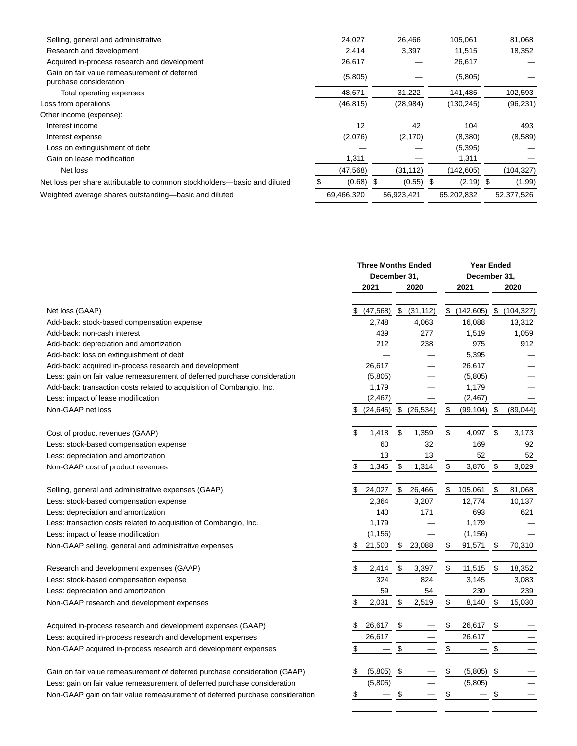| 24,027     | 26.466     | 105,061       | 81,068     |
|------------|------------|---------------|------------|
| 2,414      | 3,397      | 11,515        | 18,352     |
| 26,617     |            | 26,617        |            |
| (5,805)    |            | (5,805)       |            |
| 48,671     | 31,222     | 141,485       | 102,593    |
| (46, 815)  | (28, 984)  | (130, 245)    | (96, 231)  |
|            |            |               |            |
| 12         | 42         | 104           | 493        |
| (2,076)    | (2, 170)   | (8,380)       | (8,589)    |
|            |            | (5,395)       |            |
| 1,311      |            | 1,311         |            |
| (47, 568)  | (31, 112)  | (142,605)     | (104, 327) |
| (0.68)     | (0.55)     | (2.19)<br>\$. | (1.99)     |
| 69,466,320 | 56,923,421 | 65,202,832    | 52,377,526 |
|            |            |               |            |

| December 31.<br>December 31.<br>2021<br>2021<br>2020<br>2020<br>\$<br>\$<br>\$<br>(31, 112)<br>\$<br>(142, 605)<br>(104, 327)<br>Net loss (GAAP)<br>(47, 568)<br>2,748<br>4,063<br>16,088<br>13,312<br>Add-back: stock-based compensation expense<br>439<br>277<br>1,059<br>Add-back: non-cash interest<br>1,519<br>212<br>238<br>975<br>912<br>Add-back: depreciation and amortization<br>Add-back: loss on extinguishment of debt<br>5,395<br>Add-back: acquired in-process research and development<br>26,617<br>26,617<br>Less: gain on fair value remeasurement of deferred purchase consideration<br>(5,805)<br>(5,805)<br>Add-back: transaction costs related to acquisition of Combangio, Inc.<br>1,179<br>1,179<br>(2, 467)<br>(2, 467)<br>Less: impact of lease modification<br>$\boldsymbol{\mathsf{S}}$<br>\$<br>\$<br>(89,044)<br>Non-GAAP net loss<br>(24, 645)<br>(26, 534)<br>(99, 104)<br>\$<br>\$<br>\$<br>\$<br>1,418<br>1,359<br>4,097<br>3,173<br>Cost of product revenues (GAAP)<br>32<br>60<br>169<br>92<br>Less: stock-based compensation expense |
|---------------------------------------------------------------------------------------------------------------------------------------------------------------------------------------------------------------------------------------------------------------------------------------------------------------------------------------------------------------------------------------------------------------------------------------------------------------------------------------------------------------------------------------------------------------------------------------------------------------------------------------------------------------------------------------------------------------------------------------------------------------------------------------------------------------------------------------------------------------------------------------------------------------------------------------------------------------------------------------------------------------------------------------------------------------------------|
|                                                                                                                                                                                                                                                                                                                                                                                                                                                                                                                                                                                                                                                                                                                                                                                                                                                                                                                                                                                                                                                                           |
|                                                                                                                                                                                                                                                                                                                                                                                                                                                                                                                                                                                                                                                                                                                                                                                                                                                                                                                                                                                                                                                                           |
|                                                                                                                                                                                                                                                                                                                                                                                                                                                                                                                                                                                                                                                                                                                                                                                                                                                                                                                                                                                                                                                                           |
|                                                                                                                                                                                                                                                                                                                                                                                                                                                                                                                                                                                                                                                                                                                                                                                                                                                                                                                                                                                                                                                                           |
|                                                                                                                                                                                                                                                                                                                                                                                                                                                                                                                                                                                                                                                                                                                                                                                                                                                                                                                                                                                                                                                                           |
|                                                                                                                                                                                                                                                                                                                                                                                                                                                                                                                                                                                                                                                                                                                                                                                                                                                                                                                                                                                                                                                                           |
|                                                                                                                                                                                                                                                                                                                                                                                                                                                                                                                                                                                                                                                                                                                                                                                                                                                                                                                                                                                                                                                                           |
|                                                                                                                                                                                                                                                                                                                                                                                                                                                                                                                                                                                                                                                                                                                                                                                                                                                                                                                                                                                                                                                                           |
|                                                                                                                                                                                                                                                                                                                                                                                                                                                                                                                                                                                                                                                                                                                                                                                                                                                                                                                                                                                                                                                                           |
|                                                                                                                                                                                                                                                                                                                                                                                                                                                                                                                                                                                                                                                                                                                                                                                                                                                                                                                                                                                                                                                                           |
|                                                                                                                                                                                                                                                                                                                                                                                                                                                                                                                                                                                                                                                                                                                                                                                                                                                                                                                                                                                                                                                                           |
|                                                                                                                                                                                                                                                                                                                                                                                                                                                                                                                                                                                                                                                                                                                                                                                                                                                                                                                                                                                                                                                                           |
|                                                                                                                                                                                                                                                                                                                                                                                                                                                                                                                                                                                                                                                                                                                                                                                                                                                                                                                                                                                                                                                                           |
|                                                                                                                                                                                                                                                                                                                                                                                                                                                                                                                                                                                                                                                                                                                                                                                                                                                                                                                                                                                                                                                                           |
| 13<br>13<br>52<br>52<br>Less: depreciation and amortization                                                                                                                                                                                                                                                                                                                                                                                                                                                                                                                                                                                                                                                                                                                                                                                                                                                                                                                                                                                                               |
| \$<br>\$<br>\$<br>\$<br>1,345<br>1,314<br>3,876<br>3,029<br>Non-GAAP cost of product revenues                                                                                                                                                                                                                                                                                                                                                                                                                                                                                                                                                                                                                                                                                                                                                                                                                                                                                                                                                                             |
| $\boldsymbol{\mathsf{S}}$<br>\$<br>26,466<br>\$<br>105,061<br>Selling, general and administrative expenses (GAAP)<br>\$<br>24,027<br>81,068                                                                                                                                                                                                                                                                                                                                                                                                                                                                                                                                                                                                                                                                                                                                                                                                                                                                                                                               |
| 2,364<br>3,207<br>12,774<br>10,137<br>Less: stock-based compensation expense                                                                                                                                                                                                                                                                                                                                                                                                                                                                                                                                                                                                                                                                                                                                                                                                                                                                                                                                                                                              |
| Less: depreciation and amortization<br>140<br>171<br>693<br>621                                                                                                                                                                                                                                                                                                                                                                                                                                                                                                                                                                                                                                                                                                                                                                                                                                                                                                                                                                                                           |
| Less: transaction costs related to acquisition of Combangio, Inc.<br>1,179<br>1,179                                                                                                                                                                                                                                                                                                                                                                                                                                                                                                                                                                                                                                                                                                                                                                                                                                                                                                                                                                                       |
| Less: impact of lease modification<br>(1, 156)<br>(1, 156)                                                                                                                                                                                                                                                                                                                                                                                                                                                                                                                                                                                                                                                                                                                                                                                                                                                                                                                                                                                                                |
| \$<br>21,500<br>\$<br>23,088<br>91,571<br>\$<br>70,310<br>Non-GAAP selling, general and administrative expenses                                                                                                                                                                                                                                                                                                                                                                                                                                                                                                                                                                                                                                                                                                                                                                                                                                                                                                                                                           |
| \$<br>\$<br>Research and development expenses (GAAP)<br>2,414<br>3,397<br>\$<br>11,515<br>18,352<br>\$                                                                                                                                                                                                                                                                                                                                                                                                                                                                                                                                                                                                                                                                                                                                                                                                                                                                                                                                                                    |
| 324<br>824<br>3,145<br>Less: stock-based compensation expense<br>3,083                                                                                                                                                                                                                                                                                                                                                                                                                                                                                                                                                                                                                                                                                                                                                                                                                                                                                                                                                                                                    |
| Less: depreciation and amortization<br>59<br>54<br>230<br>239                                                                                                                                                                                                                                                                                                                                                                                                                                                                                                                                                                                                                                                                                                                                                                                                                                                                                                                                                                                                             |
| \$<br>\$<br>\$<br>\$<br>2,031<br>2,519<br>8,140<br>15,030<br>Non-GAAP research and development expenses                                                                                                                                                                                                                                                                                                                                                                                                                                                                                                                                                                                                                                                                                                                                                                                                                                                                                                                                                                   |
| \$<br>\$<br>\$<br>\$<br>26,617<br>26,617<br>Acquired in-process research and development expenses (GAAP)                                                                                                                                                                                                                                                                                                                                                                                                                                                                                                                                                                                                                                                                                                                                                                                                                                                                                                                                                                  |
| 26,617<br>26,617<br>Less: acquired in-process research and development expenses                                                                                                                                                                                                                                                                                                                                                                                                                                                                                                                                                                                                                                                                                                                                                                                                                                                                                                                                                                                           |
| \$<br>\$<br>\$<br>\$<br>Non-GAAP acquired in-process research and development expenses                                                                                                                                                                                                                                                                                                                                                                                                                                                                                                                                                                                                                                                                                                                                                                                                                                                                                                                                                                                    |
| \$<br>\$<br>\$<br>\$<br>(5,805)<br>(5,805)<br>Gain on fair value remeasurement of deferred purchase consideration (GAAP)                                                                                                                                                                                                                                                                                                                                                                                                                                                                                                                                                                                                                                                                                                                                                                                                                                                                                                                                                  |
| (5,805)<br>(5,805)<br>Less: gain on fair value remeasurement of deferred purchase consideration                                                                                                                                                                                                                                                                                                                                                                                                                                                                                                                                                                                                                                                                                                                                                                                                                                                                                                                                                                           |
| \$<br>\$<br>\$<br>\$<br>Non-GAAP gain on fair value remeasurement of deferred purchase consideration                                                                                                                                                                                                                                                                                                                                                                                                                                                                                                                                                                                                                                                                                                                                                                                                                                                                                                                                                                      |